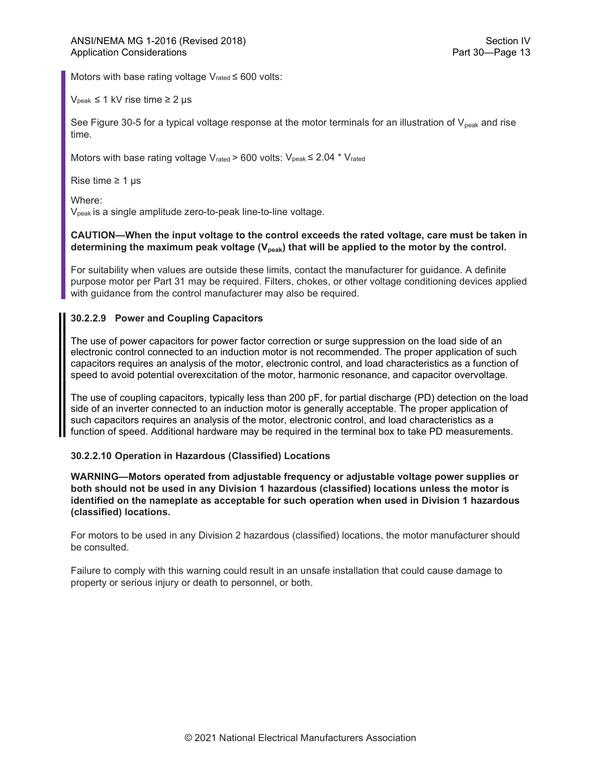Motors with base rating voltage Vrated ≤ 600 volts:

 $V_{\text{peak}} \leq 1 \text{ kV}$  rise time  $\geq 2 \text{ }\mu\text{s}$ 

See Figure 30-5 for a typical voltage response at the motor terminals for an illustration of  $V_{peak}$  and rise time.

Motors with base rating voltage V<sub>rated</sub> > 600 volts:  $V_{peak} \leq 2.04 * V_{rated}$ 

Rise time  $\geq 1$  µs

Where:

Vpeak is a single amplitude zero-to-peak line-to-line voltage.

## CAUTION—When the input voltage to the control exceeds the rated voltage, care must be taken in determining the maximum peak voltage  $(V_{peak})$  that will be applied to the motor by the control.

For suitability when values are outside these limits, contact the manufacturer for guidance. A definite purpose motor per Part 31 may be required. Filters, chokes, or other voltage conditioning devices applied with guidance from the control manufacturer may also be required.

## 30.2.2.9 Power and Coupling Capacitors

The use of power capacitors for power factor correction or surge suppression on the load side of an electronic control connected to an induction motor is not recommended. The proper application of such capacitors requires an analysis of the motor, electronic control, and load characteristics as a function of speed to avoid potential overexcitation of the motor, harmonic resonance, and capacitor overvoltage.

The use of coupling capacitors, typically less than 200 pF, for partial discharge (PD) detection on the load side of an inverter connected to an induction motor is generally acceptable. The proper application of such capacitors requires an analysis of the motor, electronic control, and load characteristics as a function of speed. Additional hardware may be required in the terminal box to take PD measurements.

## 30.2.2.10 Operation in Hazardous (Classified) Locations

WARNING—Motors operated from adjustable frequency or adjustable voltage power supplies or both should not be used in any Division 1 hazardous (classified) locations unless the motor is identified on the nameplate as acceptable for such operation when used in Division 1 hazardous (classified) locations.

For motors to be used in any Division 2 hazardous (classified) locations, the motor manufacturer should be consulted.

Failure to comply with this warning could result in an unsafe installation that could cause damage to property or serious injury or death to personnel, or both.